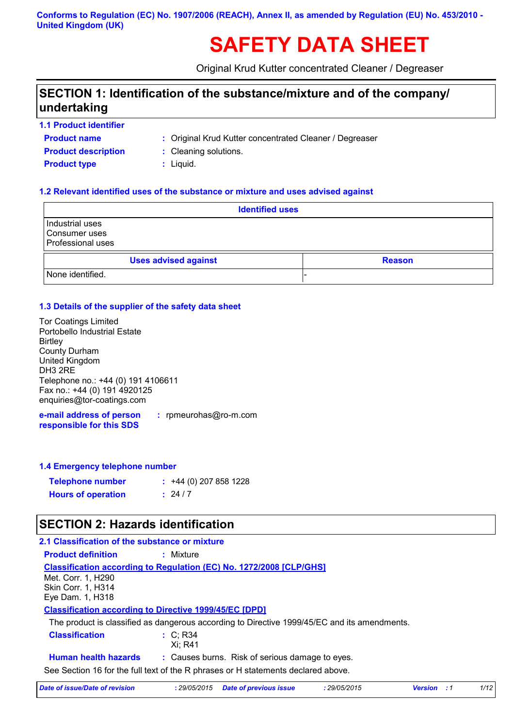#### **Conforms to Regulation (EC) No. 1907/2006 (REACH), Annex II, as amended by Regulation (EU) No. 453/2010 - United Kingdom (UK)**

# **SAFETY DATA SHEET**

Original Krud Kutter concentrated Cleaner / Degreaser

### **SECTION 1: Identification of the substance/mixture and of the company/ undertaking**

**1.1 Product identifier**

**Product name**

- Original Krud Kutter concentrated Cleaner / Degreaser **:**
- **Product type**  $\qquad$ **: Liquid. Product description :** Cleaning solutions.
	-
	-

#### **1.2 Relevant identified uses of the substance or mixture and uses advised against**

| <b>Identified uses</b>                                |               |  |
|-------------------------------------------------------|---------------|--|
| Industrial uses<br>Consumer uses<br>Professional uses |               |  |
| <b>Uses advised against</b>                           | <b>Reason</b> |  |
| None identified.                                      |               |  |

#### **1.3 Details of the supplier of the safety data sheet**

| <b>Tor Coatings Limited</b>        |
|------------------------------------|
| Portobello Industrial Estate       |
| <b>Birtley</b>                     |
| <b>County Durham</b>               |
| United Kingdom                     |
| DH3 2RE                            |
| Telephone no.: +44 (0) 191 4106611 |
| Fax no.: +44 (0) 191 4920125       |
| enquiries@tor-coatings.com         |
|                                    |

**e-mail address of person responsible for this SDS :** rpmeurohas@ro-m.com

#### **1.4 Emergency telephone number**

| <b>Telephone number</b>   | $: +44(0)$ 207 858 1228 |
|---------------------------|-------------------------|
| <b>Hours of operation</b> | : 24/7                  |

### **SECTION 2: Hazards identification**

| 2.1 Classification of the substance or mixture                |                                                                                              |
|---------------------------------------------------------------|----------------------------------------------------------------------------------------------|
| <b>Product definition</b>                                     | : Mixture                                                                                    |
|                                                               | <b>Classification according to Regulation (EC) No. 1272/2008 [CLP/GHS]</b>                   |
| Met. Corr. 1. H290                                            |                                                                                              |
| Skin Corr. 1, H314                                            |                                                                                              |
| Eye Dam. 1, H318                                              |                                                                                              |
| <b>Classification according to Directive 1999/45/EC [DPD]</b> |                                                                                              |
|                                                               | The product is classified as dangerous according to Directive 1999/45/EC and its amendments. |
| <b>Classification</b>                                         | $\therefore$ C: R34                                                                          |
|                                                               | Xi: R41                                                                                      |
| <b>Human health hazards</b>                                   | : Causes burns. Risk of serious damage to eyes.                                              |
|                                                               | See Section 16 for the full text of the R phrases or H statements declared above.            |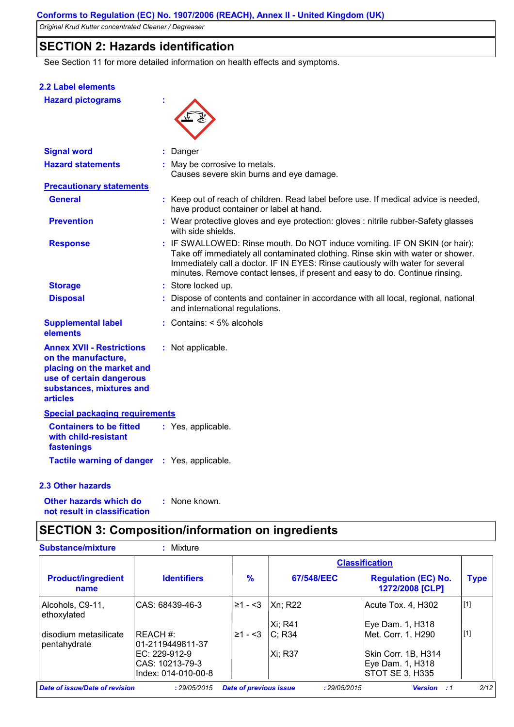### **SECTION 2: Hazards identification**

See Section 11 for more detailed information on health effects and symptoms.

| 2.2 Label elements                                                                                                                                              |                                                                                                                                                                                                                                                                                                                                  |
|-----------------------------------------------------------------------------------------------------------------------------------------------------------------|----------------------------------------------------------------------------------------------------------------------------------------------------------------------------------------------------------------------------------------------------------------------------------------------------------------------------------|
| <b>Hazard pictograms</b>                                                                                                                                        |                                                                                                                                                                                                                                                                                                                                  |
| <b>Signal word</b>                                                                                                                                              | Danger                                                                                                                                                                                                                                                                                                                           |
| <b>Hazard statements</b>                                                                                                                                        | : May be corrosive to metals.<br>Causes severe skin burns and eye damage.                                                                                                                                                                                                                                                        |
| <b>Precautionary statements</b>                                                                                                                                 |                                                                                                                                                                                                                                                                                                                                  |
| <b>General</b>                                                                                                                                                  | : Keep out of reach of children. Read label before use. If medical advice is needed,<br>have product container or label at hand.                                                                                                                                                                                                 |
| <b>Prevention</b>                                                                                                                                               | : Wear protective gloves and eye protection: gloves : nitrile rubber-Safety glasses<br>with side shields.                                                                                                                                                                                                                        |
| <b>Response</b>                                                                                                                                                 | : IF SWALLOWED: Rinse mouth. Do NOT induce vomiting. IF ON SKIN (or hair):<br>Take off immediately all contaminated clothing. Rinse skin with water or shower.<br>Immediately call a doctor. IF IN EYES: Rinse cautiously with water for several<br>minutes. Remove contact lenses, if present and easy to do. Continue rinsing. |
| <b>Storage</b>                                                                                                                                                  | : Store locked up.                                                                                                                                                                                                                                                                                                               |
| <b>Disposal</b>                                                                                                                                                 | : Dispose of contents and container in accordance with all local, regional, national<br>and international regulations.                                                                                                                                                                                                           |
| <b>Supplemental label</b><br>elements                                                                                                                           | : Contains: $<$ 5% alcohols                                                                                                                                                                                                                                                                                                      |
| <b>Annex XVII - Restrictions</b><br>on the manufacture,<br>placing on the market and<br>use of certain dangerous<br>substances, mixtures and<br><b>articles</b> | : Not applicable.                                                                                                                                                                                                                                                                                                                |
| <b>Special packaging requirements</b>                                                                                                                           |                                                                                                                                                                                                                                                                                                                                  |
| <b>Containers to be fitted</b><br>with child-resistant<br>fastenings                                                                                            | : Yes, applicable.                                                                                                                                                                                                                                                                                                               |
| Tactile warning of danger : Yes, applicable.                                                                                                                    |                                                                                                                                                                                                                                                                                                                                  |
| 2.3 Other hazards                                                                                                                                               |                                                                                                                                                                                                                                                                                                                                  |
| Other hazards which do                                                                                                                                          | : None known.                                                                                                                                                                                                                                                                                                                    |

## **SECTION 3: Composition/information on ingredients**

**not result in classification**

| <b>Substance/mixture</b>              | Mixture                              |                               |              |                                               |             |
|---------------------------------------|--------------------------------------|-------------------------------|--------------|-----------------------------------------------|-------------|
|                                       |                                      |                               |              | <b>Classification</b>                         |             |
| <b>Product/ingredient</b><br>name     | <b>Identifiers</b>                   | $\frac{9}{6}$                 | 67/548/EEC   | <b>Regulation (EC) No.</b><br>1272/2008 [CLP] | <b>Type</b> |
| Alcohols, C9-11,<br>ethoxylated       | ICAS: 68439-46-3                     | ¦≥1 - <3                      | Xn; R22      | Acute Tox. 4, H302                            | $[1]$       |
|                                       |                                      |                               | Xi: R41      | Eye Dam. 1, H318                              |             |
| disodium metasilicate<br>pentahydrate | <b>IREACH#:</b><br>101-2119449811-37 | $\geq 1 - 3$                  | IC: R34      | Met. Corr. 1, H290                            | $[1]$       |
|                                       | EC: 229-912-9                        |                               | Xi; R37      | Skin Corr. 1B, H314                           |             |
|                                       | ICAS: 10213-79-3                     |                               |              | Eye Dam. 1, H318                              |             |
|                                       | Index: 014-010-00-8                  |                               |              | STOT SE 3, H335                               |             |
| Date of issue/Date of revision        | : 29/05/2015                         | <b>Date of previous issue</b> | : 29/05/2015 | <b>Version</b><br><u>:</u> 1                  | 2/12        |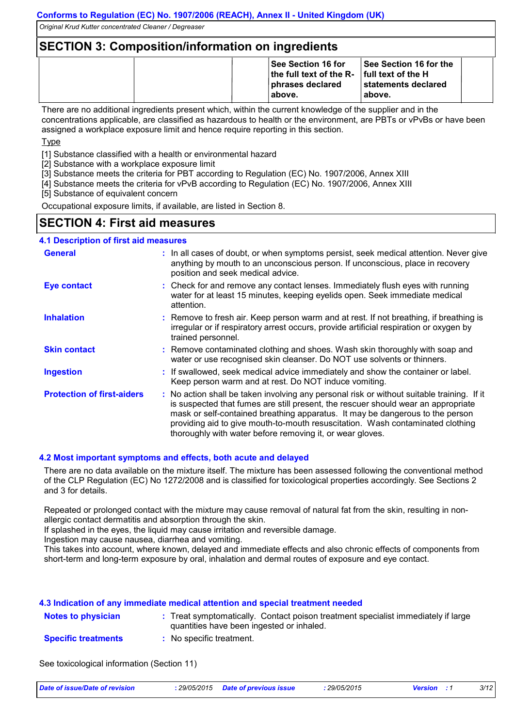### **SECTION 3: Composition/information on ingredients**

|  | ∣See Section 16 for<br>the full text of the $R-$ full text of the H<br>phrases declared<br>∣above. | <b>See Section 16 for the</b><br>∣statements declared<br>above. |  |
|--|----------------------------------------------------------------------------------------------------|-----------------------------------------------------------------|--|
|--|----------------------------------------------------------------------------------------------------|-----------------------------------------------------------------|--|

There are no additional ingredients present which, within the current knowledge of the supplier and in the concentrations applicable, are classified as hazardous to health or the environment, are PBTs or vPvBs or have been assigned a workplace exposure limit and hence require reporting in this section.

Type

[1] Substance classified with a health or environmental hazard

[2] Substance with a workplace exposure limit

[3] Substance meets the criteria for PBT according to Regulation (EC) No. 1907/2006, Annex XIII

[4] Substance meets the criteria for vPvB according to Regulation (EC) No. 1907/2006, Annex XIII

[5] Substance of equivalent concern

Occupational exposure limits, if available, are listed in Section 8.

### **SECTION 4: First aid measures**

#### **4.1 Description of first aid measures**

| <b>General</b>                    | : In all cases of doubt, or when symptoms persist, seek medical attention. Never give<br>anything by mouth to an unconscious person. If unconscious, place in recovery<br>position and seek medical advice.                                                                                                                                                                                                     |
|-----------------------------------|-----------------------------------------------------------------------------------------------------------------------------------------------------------------------------------------------------------------------------------------------------------------------------------------------------------------------------------------------------------------------------------------------------------------|
| <b>Eye contact</b>                | : Check for and remove any contact lenses. Immediately flush eyes with running<br>water for at least 15 minutes, keeping eyelids open. Seek immediate medical<br>attention.                                                                                                                                                                                                                                     |
| <b>Inhalation</b>                 | : Remove to fresh air. Keep person warm and at rest. If not breathing, if breathing is<br>irregular or if respiratory arrest occurs, provide artificial respiration or oxygen by<br>trained personnel.                                                                                                                                                                                                          |
| <b>Skin contact</b>               | : Remove contaminated clothing and shoes. Wash skin thoroughly with soap and<br>water or use recognised skin cleanser. Do NOT use solvents or thinners.                                                                                                                                                                                                                                                         |
| <b>Ingestion</b>                  | : If swallowed, seek medical advice immediately and show the container or label.<br>Keep person warm and at rest. Do NOT induce vomiting.                                                                                                                                                                                                                                                                       |
| <b>Protection of first-aiders</b> | : No action shall be taken involving any personal risk or without suitable training. If it<br>is suspected that fumes are still present, the rescuer should wear an appropriate<br>mask or self-contained breathing apparatus. It may be dangerous to the person<br>providing aid to give mouth-to-mouth resuscitation. Wash contaminated clothing<br>thoroughly with water before removing it, or wear gloves. |

#### **4.2 Most important symptoms and effects, both acute and delayed**

There are no data available on the mixture itself. The mixture has been assessed following the conventional method of the CLP Regulation (EC) No 1272/2008 and is classified for toxicological properties accordingly. See Sections 2 and 3 for details.

Repeated or prolonged contact with the mixture may cause removal of natural fat from the skin, resulting in nonallergic contact dermatitis and absorption through the skin.

If splashed in the eyes, the liquid may cause irritation and reversible damage.

Ingestion may cause nausea, diarrhea and vomiting.

This takes into account, where known, delayed and immediate effects and also chronic effects of components from short-term and long-term exposure by oral, inhalation and dermal routes of exposure and eye contact.

#### **4.3 Indication of any immediate medical attention and special treatment needed**

| <b>Notes to physician</b>  | : Treat symptomatically. Contact poison treatment specialist immediately if large<br>quantities have been ingested or inhaled. |
|----------------------------|--------------------------------------------------------------------------------------------------------------------------------|
| <b>Specific treatments</b> | No specific treatment.                                                                                                         |

See toxicological information (Section 11)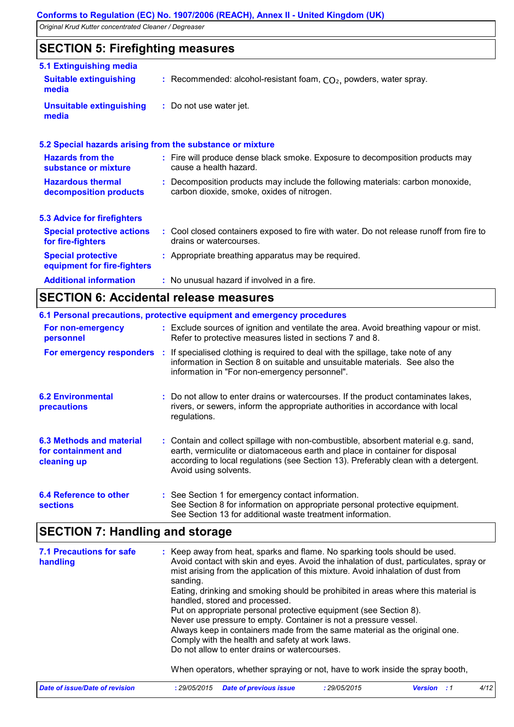### **SECTION 5: Firefighting measures**

| 5.1 Extinguishing media                                  |                                                                                                                              |
|----------------------------------------------------------|------------------------------------------------------------------------------------------------------------------------------|
| <b>Suitable extinguishing</b><br>media                   | : Recommended: alcohol-resistant foam, $CO2$ , powders, water spray.                                                         |
| <b>Unsuitable extinguishing</b><br>media                 | : Do not use water jet.                                                                                                      |
|                                                          | 5.2 Special hazards arising from the substance or mixture                                                                    |
| <b>Hazards from the</b><br>substance or mixture          | : Fire will produce dense black smoke. Exposure to decomposition products may<br>cause a health hazard.                      |
| <b>Hazardous thermal</b><br>decomposition products       | : Decomposition products may include the following materials: carbon monoxide,<br>carbon dioxide, smoke, oxides of nitrogen. |
| <b>5.3 Advice for firefighters</b>                       |                                                                                                                              |
| <b>Special protective actions</b><br>for fire-fighters   | : Cool closed containers exposed to fire with water. Do not release runoff from fire to<br>drains or watercourses.           |
| <b>Special protective</b><br>equipment for fire-fighters | : Appropriate breathing apparatus may be required.                                                                           |
| <b>Additional information</b>                            | : No unusual hazard if involved in a fire.                                                                                   |

### **SECTION 6: Accidental release measures**

|                                                                       | 6.1 Personal precautions, protective equipment and emergency procedures                                                                                                                                                                                                            |
|-----------------------------------------------------------------------|------------------------------------------------------------------------------------------------------------------------------------------------------------------------------------------------------------------------------------------------------------------------------------|
| For non-emergency<br>personnel                                        | : Exclude sources of ignition and ventilate the area. Avoid breathing vapour or mist.<br>Refer to protective measures listed in sections 7 and 8.                                                                                                                                  |
|                                                                       | <b>For emergency responders</b> : If specialised clothing is required to deal with the spillage, take note of any<br>information in Section 8 on suitable and unsuitable materials. See also the<br>information in "For non-emergency personnel".                                  |
| <b>6.2 Environmental</b><br>precautions                               | : Do not allow to enter drains or watercourses. If the product contaminates lakes,<br>rivers, or sewers, inform the appropriate authorities in accordance with local<br>regulations.                                                                                               |
| <b>6.3 Methods and material</b><br>for containment and<br>cleaning up | : Contain and collect spillage with non-combustible, absorbent material e.g. sand,<br>earth, vermiculite or diatomaceous earth and place in container for disposal<br>according to local regulations (see Section 13). Preferably clean with a detergent.<br>Avoid using solvents. |
| 6.4 Reference to other<br><b>sections</b>                             | : See Section 1 for emergency contact information.<br>See Section 8 for information on appropriate personal protective equipment.<br>See Section 13 for additional waste treatment information.                                                                                    |

### **SECTION 7: Handling and storage**

| <b>7.1 Precautions for safe</b><br>handling | : Keep away from heat, sparks and flame. No sparking tools should be used.<br>Avoid contact with skin and eyes. Avoid the inhalation of dust, particulates, spray or<br>mist arising from the application of this mixture. Avoid inhalation of dust from<br>sanding.<br>Eating, drinking and smoking should be prohibited in areas where this material is<br>handled, stored and processed.<br>Put on appropriate personal protective equipment (see Section 8).<br>Never use pressure to empty. Container is not a pressure vessel.<br>Always keep in containers made from the same material as the original one.<br>Comply with the health and safety at work laws.<br>Do not allow to enter drains or watercourses.<br>When operators, whether spraying or not, have to work inside the spray booth, |
|---------------------------------------------|---------------------------------------------------------------------------------------------------------------------------------------------------------------------------------------------------------------------------------------------------------------------------------------------------------------------------------------------------------------------------------------------------------------------------------------------------------------------------------------------------------------------------------------------------------------------------------------------------------------------------------------------------------------------------------------------------------------------------------------------------------------------------------------------------------|
| Date of issue/Date of revision              | 4/12<br><b>Date of previous issue</b><br>: 29/05/2015<br>: 29/05/2015<br>Version<br>. . 1                                                                                                                                                                                                                                                                                                                                                                                                                                                                                                                                                                                                                                                                                                               |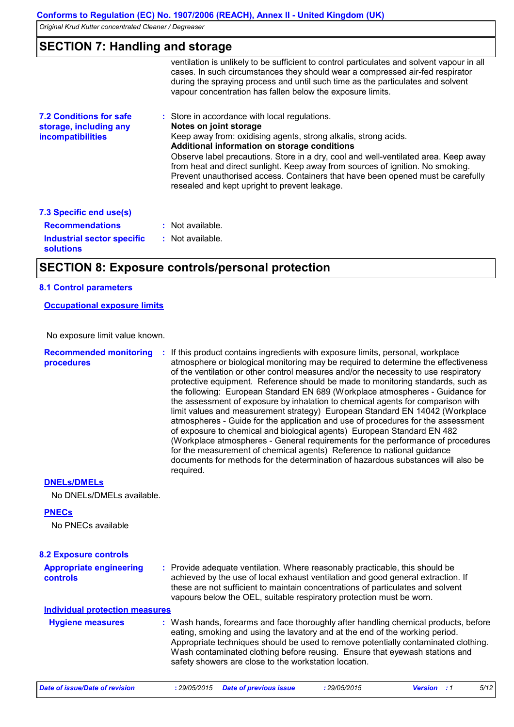| <b>SECTION 7: Handling and storage</b>                                               |                                                                                                                                                                                                                                                                                                                                                                                                                                                                                                         |  |  |  |  |
|--------------------------------------------------------------------------------------|---------------------------------------------------------------------------------------------------------------------------------------------------------------------------------------------------------------------------------------------------------------------------------------------------------------------------------------------------------------------------------------------------------------------------------------------------------------------------------------------------------|--|--|--|--|
|                                                                                      | ventilation is unlikely to be sufficient to control particulates and solvent vapour in all<br>cases. In such circumstances they should wear a compressed air-fed respirator<br>during the spraying process and until such time as the particulates and solvent<br>vapour concentration has fallen below the exposure limits.                                                                                                                                                                            |  |  |  |  |
| <b>7.2 Conditions for safe</b><br>storage, including any<br><i>incompatibilities</i> | : Store in accordance with local regulations.<br>Notes on joint storage<br>Keep away from: oxidising agents, strong alkalis, strong acids.<br>Additional information on storage conditions<br>Observe label precautions. Store in a dry, cool and well-ventilated area. Keep away<br>from heat and direct sunlight. Keep away from sources of ignition. No smoking.<br>Prevent unauthorised access. Containers that have been opened must be carefully<br>resealed and kept upright to prevent leakage. |  |  |  |  |
| 7.3 Specific end use(s)                                                              |                                                                                                                                                                                                                                                                                                                                                                                                                                                                                                         |  |  |  |  |
| <b>Recommendations</b>                                                               | : Not available.                                                                                                                                                                                                                                                                                                                                                                                                                                                                                        |  |  |  |  |
| Industrial sector specific<br><b>solutions</b>                                       | : Not available.                                                                                                                                                                                                                                                                                                                                                                                                                                                                                        |  |  |  |  |

### **SECTION 8: Exposure controls/personal protection**

#### **8.1 Control parameters**

**Occupational exposure limits**

No exposure limit value known.

**Recommended monitoring : If this product contains ingredients with exposure limits, personal, workplace procedures** atmosphere or biological monitoring may be required to determine the effectiveness of the ventilation or other control measures and/or the necessity to use respiratory protective equipment. Reference should be made to monitoring standards, such as the following: European Standard EN 689 (Workplace atmospheres - Guidance for the assessment of exposure by inhalation to chemical agents for comparison with limit values and measurement strategy) European Standard EN 14042 (Workplace atmospheres - Guide for the application and use of procedures for the assessment of exposure to chemical and biological agents) European Standard EN 482 (Workplace atmospheres - General requirements for the performance of procedures for the measurement of chemical agents) Reference to national guidance documents for methods for the determination of hazardous substances will also be required.

#### **DNELs/DMELs**

No DNELs/DMELs available.

#### **PNECs**

No PNECs available

| <b>8.2 Exposure controls</b>                      |                                                                                                                                                                                                                                                                                                                                                                                                   |              |                    |      |
|---------------------------------------------------|---------------------------------------------------------------------------------------------------------------------------------------------------------------------------------------------------------------------------------------------------------------------------------------------------------------------------------------------------------------------------------------------------|--------------|--------------------|------|
| <b>Appropriate engineering</b><br><b>controls</b> | : Provide adequate ventilation. Where reasonably practicable, this should be<br>achieved by the use of local exhaust ventilation and good general extraction. If<br>these are not sufficient to maintain concentrations of particulates and solvent<br>vapours below the OEL, suitable respiratory protection must be worn.                                                                       |              |                    |      |
| <b>Individual protection measures</b>             |                                                                                                                                                                                                                                                                                                                                                                                                   |              |                    |      |
| <b>Hygiene measures</b>                           | : Wash hands, forearms and face thoroughly after handling chemical products, before<br>eating, smoking and using the lavatory and at the end of the working period.<br>Appropriate techniques should be used to remove potentially contaminated clothing.<br>Wash contaminated clothing before reusing. Ensure that eyewash stations and<br>safety showers are close to the workstation location. |              |                    |      |
| Date of issue/Date of revision                    | <b>Date of previous issue</b><br>: 29/05/2015                                                                                                                                                                                                                                                                                                                                                     | : 29/05/2015 | <b>Version</b> : 1 | 5/12 |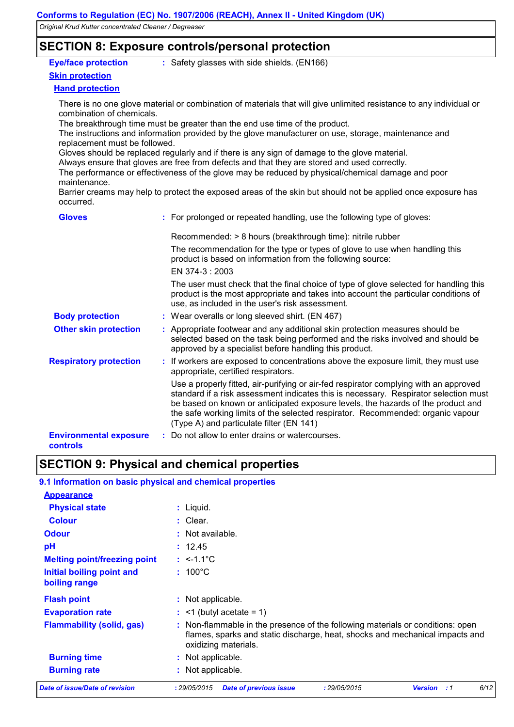### **SECTION 8: Exposure controls/personal protection**

#### **Eye/face protection**

**:** Safety glasses with side shields. (EN166)

#### **Skin protection**

#### **Hand protection**

There is no one glove material or combination of materials that will give unlimited resistance to any individual or combination of chemicals.

The breakthrough time must be greater than the end use time of the product.

The instructions and information provided by the glove manufacturer on use, storage, maintenance and replacement must be followed.

Gloves should be replaced regularly and if there is any sign of damage to the glove material.

Always ensure that gloves are free from defects and that they are stored and used correctly.

The performance or effectiveness of the glove may be reduced by physical/chemical damage and poor maintenance.

Barrier creams may help to protect the exposed areas of the skin but should not be applied once exposure has occurred.

| <b>Gloves</b>                             | : For prolonged or repeated handling, use the following type of gloves:                                                                                                                                                                                                                                                                                                                          |
|-------------------------------------------|--------------------------------------------------------------------------------------------------------------------------------------------------------------------------------------------------------------------------------------------------------------------------------------------------------------------------------------------------------------------------------------------------|
|                                           | Recommended: > 8 hours (breakthrough time): nitrile rubber                                                                                                                                                                                                                                                                                                                                       |
|                                           | The recommendation for the type or types of glove to use when handling this<br>product is based on information from the following source:                                                                                                                                                                                                                                                        |
|                                           | EN 374-3 : 2003                                                                                                                                                                                                                                                                                                                                                                                  |
|                                           | The user must check that the final choice of type of glove selected for handling this<br>product is the most appropriate and takes into account the particular conditions of<br>use, as included in the user's risk assessment.                                                                                                                                                                  |
| <b>Body protection</b>                    | : Wear overalls or long sleeved shirt. (EN 467)                                                                                                                                                                                                                                                                                                                                                  |
| <b>Other skin protection</b>              | : Appropriate footwear and any additional skin protection measures should be<br>selected based on the task being performed and the risks involved and should be<br>approved by a specialist before handling this product.                                                                                                                                                                        |
| <b>Respiratory protection</b>             | : If workers are exposed to concentrations above the exposure limit, they must use<br>appropriate, certified respirators.                                                                                                                                                                                                                                                                        |
|                                           | Use a properly fitted, air-purifying or air-fed respirator complying with an approved<br>standard if a risk assessment indicates this is necessary. Respirator selection must<br>be based on known or anticipated exposure levels, the hazards of the product and<br>the safe working limits of the selected respirator. Recommended: organic vapour<br>(Type A) and particulate filter (EN 141) |
| <b>Environmental exposure</b><br>controls | : Do not allow to enter drains or watercourses.                                                                                                                                                                                                                                                                                                                                                  |

### **SECTION 9: Physical and chemical properties**

| 9.1 Information on basic physical and chemical properties |                                                                                                                                                                                      |
|-----------------------------------------------------------|--------------------------------------------------------------------------------------------------------------------------------------------------------------------------------------|
| <b>Appearance</b>                                         |                                                                                                                                                                                      |
| <b>Physical state</b>                                     | $:$ Liquid.                                                                                                                                                                          |
| <b>Colour</b>                                             | $:$ Clear.                                                                                                                                                                           |
| <b>Odour</b>                                              | : Not available.                                                                                                                                                                     |
| pH                                                        | : 12.45                                                                                                                                                                              |
| <b>Melting point/freezing point</b>                       | : $\leq -1.1^{\circ}C$                                                                                                                                                               |
| Initial boiling point and<br>boiling range                | $: 100^{\circ}$ C                                                                                                                                                                    |
| <b>Flash point</b>                                        | : Not applicable.                                                                                                                                                                    |
| <b>Evaporation rate</b>                                   | $:$ <1 (butyl acetate = 1)                                                                                                                                                           |
| <b>Flammability (solid, gas)</b>                          | Non-flammable in the presence of the following materials or conditions: open<br>flames, sparks and static discharge, heat, shocks and mechanical impacts and<br>oxidizing materials. |
| <b>Burning time</b>                                       | Not applicable.                                                                                                                                                                      |
| <b>Burning rate</b>                                       | Not applicable.                                                                                                                                                                      |
| <b>Date of issue/Date of revision</b>                     | <b>Date of previous issue</b><br>: 29/05/2015<br><b>Version</b><br>6/12<br>: 29/05/2015<br>. . 1                                                                                     |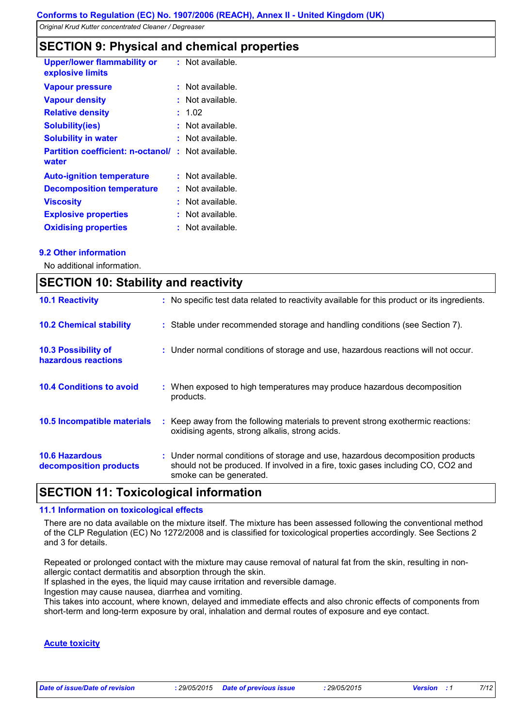### **SECTION 9: Physical and chemical properties**

|    | : Not available.                         |
|----|------------------------------------------|
| ÷. | Not available.                           |
| ŧ. | Not available.                           |
| t. | 1.02                                     |
|    | Not available.                           |
| ÷  | Not available.                           |
|    | Not available.                           |
|    | : Not available.                         |
| ÷. | Not available.                           |
|    | Not available.                           |
| t. | Not available.                           |
|    | Not available.                           |
|    | <b>Partition coefficient: n-octanol/</b> |

#### **9.2 Other information**

No additional information.

|                                                   | <b>SECTION 10: Stability and reactivity</b>                                                                                                                                                   |  |  |  |
|---------------------------------------------------|-----------------------------------------------------------------------------------------------------------------------------------------------------------------------------------------------|--|--|--|
| <b>10.1 Reactivity</b>                            | : No specific test data related to reactivity available for this product or its ingredients.                                                                                                  |  |  |  |
| <b>10.2 Chemical stability</b>                    | : Stable under recommended storage and handling conditions (see Section 7).                                                                                                                   |  |  |  |
| <b>10.3 Possibility of</b><br>hazardous reactions | : Under normal conditions of storage and use, hazardous reactions will not occur.                                                                                                             |  |  |  |
| <b>10.4 Conditions to avoid</b>                   | : When exposed to high temperatures may produce hazardous decomposition<br>products.                                                                                                          |  |  |  |
| 10.5 Incompatible materials                       | : Keep away from the following materials to prevent strong exothermic reactions:<br>oxidising agents, strong alkalis, strong acids.                                                           |  |  |  |
| <b>10.6 Hazardous</b><br>decomposition products   | : Under normal conditions of storage and use, hazardous decomposition products<br>should not be produced. If involved in a fire, toxic gases including CO, CO2 and<br>smoke can be generated. |  |  |  |

### **SECTION 11: Toxicological information**

#### **11.1 Information on toxicological effects**

There are no data available on the mixture itself. The mixture has been assessed following the conventional method of the CLP Regulation (EC) No 1272/2008 and is classified for toxicological properties accordingly. See Sections 2 and 3 for details.

Repeated or prolonged contact with the mixture may cause removal of natural fat from the skin, resulting in nonallergic contact dermatitis and absorption through the skin.

If splashed in the eyes, the liquid may cause irritation and reversible damage.

Ingestion may cause nausea, diarrhea and vomiting.

This takes into account, where known, delayed and immediate effects and also chronic effects of components from short-term and long-term exposure by oral, inhalation and dermal routes of exposure and eye contact.

#### **Acute toxicity**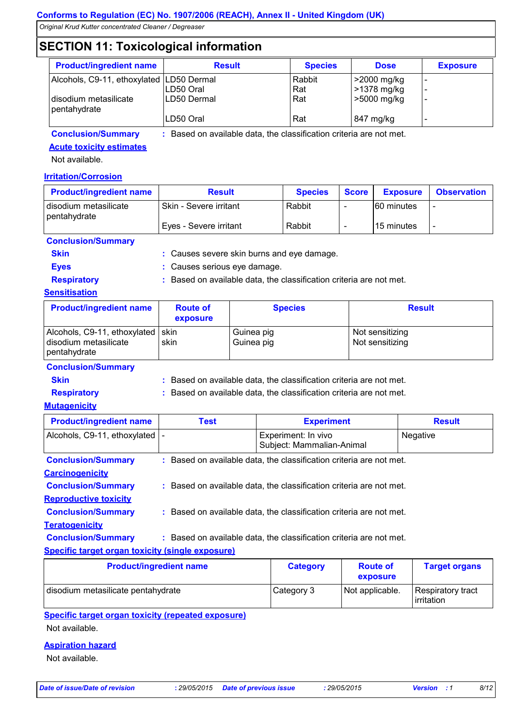### **SECTION 11: Toxicological information**

|                                          | ີ                         |                |                            |                 |
|------------------------------------------|---------------------------|----------------|----------------------------|-----------------|
| <b>Product/ingredient name</b>           | <b>Result</b>             | <b>Species</b> | <b>Dose</b>                | <b>Exposure</b> |
| Alcohols, C9-11, ethoxylated LD50 Dermal | LD50 Oral                 | Rabbit<br>Rat  | >2000 mg/kg<br>>1378 mg/kg |                 |
| disodium metasilicate<br>pentahydrate    | ILD50 Dermal<br>LD50 Oral | Rat<br>Rat     | >5000 mg/kg<br>847 mg/kg   |                 |

**Conclusion/Summary :** Based on available data, the classification criteria are not met.

and eye damage.

**Acute toxicity estimates**

Not available.

#### **Irritation/Corrosion**

| <b>Product/ingredient name</b>        | <b>Result</b>          | <b>Species</b> | <b>Score</b> | <b>Exposure</b>   | <b>Observation</b> |
|---------------------------------------|------------------------|----------------|--------------|-------------------|--------------------|
| disodium metasilicate<br>pentahydrate | Skin - Severe irritant | Rabbit         |              | <b>60 minutes</b> |                    |
|                                       | Eyes - Severe irritant | Rabbit         |              | 15 minutes        |                    |
| Conclusion/Summary                    |                        |                |              |                   |                    |

| <u>UUNUUSIUMUUHIINAI V</u> |                                    |
|----------------------------|------------------------------------|
| <b>Skin</b>                | : Causes severe skin burns and eye |
| Eves                       | : Causes serious eye damage.       |

**Respiratory :** Based on available data, the classification criteria are not met.

#### **Sensitisation**

| <b>Product/ingredient name</b>                                               | <b>Route of</b><br>exposure | <b>Species</b>           | <b>Result</b>                      |
|------------------------------------------------------------------------------|-----------------------------|--------------------------|------------------------------------|
| Alcohols, C9-11, ethoxylated   skin<br>disodium metasilicate<br>pentahydrate | skin                        | Guinea pig<br>Guinea pig | Not sensitizing<br>Not sensitizing |

#### **Conclusion/Summary**

**Skin Example 2018 :** Based on available data, the classification criteria are not met.

**Respiratory :** Based on available data, the classification criteria are not met.

#### **Mutagenicity**

| <b>Product/ingredient name</b>                          | Test | <b>Experiment</b>                                                   | <b>Result</b> |
|---------------------------------------------------------|------|---------------------------------------------------------------------|---------------|
| Alcohols, C9-11, ethoxylated   -                        |      | Experiment: In vivo<br>Subject: Mammalian-Animal                    | Negative      |
| <b>Conclusion/Summary</b>                               |      | : Based on available data, the classification criteria are not met. |               |
| <b>Carcinogenicity</b>                                  |      |                                                                     |               |
| <b>Conclusion/Summary</b>                               |      | : Based on available data, the classification criteria are not met. |               |
| <b>Reproductive toxicity</b>                            |      |                                                                     |               |
| <b>Conclusion/Summary</b>                               |      | : Based on available data, the classification criteria are not met. |               |
| <b>Teratogenicity</b>                                   |      |                                                                     |               |
| <b>Conclusion/Summary</b>                               |      | : Based on available data, the classification criteria are not met. |               |
| <b>Specific target organ toxicity (single exposure)</b> |      |                                                                     |               |

| <b>Product/ingredient name</b>     | <b>Category</b> | <b>Route of</b><br>exposure | <b>Target organs</b>            |
|------------------------------------|-----------------|-----------------------------|---------------------------------|
| disodium metasilicate pentahydrate | Category 3      | Not applicable.             | Respiratory tract<br>irritation |

#### **Specific target organ toxicity (repeated exposure)**

Not available.

#### **Aspiration hazard**

Not available.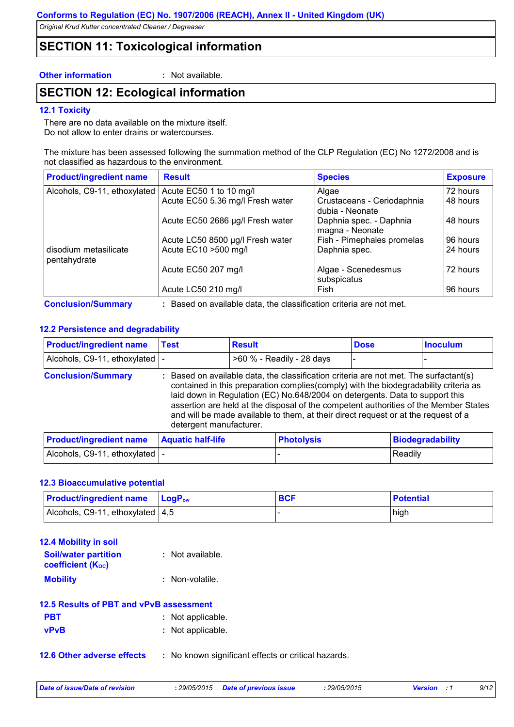### **SECTION 11: Toxicological information**

#### **Other information :** Not available.

### **SECTION 12: Ecological information**

#### **12.1 Toxicity**

There are no data available on the mixture itself. Do not allow to enter drains or watercourses.

The mixture has been assessed following the summation method of the CLP Regulation (EC) No 1272/2008 and is not classified as hazardous to the environment.

| <b>Product/ingredient name</b>        | <b>Result</b>                    | <b>Species</b>                                | <b>Exposure</b> |
|---------------------------------------|----------------------------------|-----------------------------------------------|-----------------|
| Alcohols, C9-11, ethoxylated          | Acute EC50 1 to 10 mg/l          | Algae                                         | 72 hours        |
|                                       | Acute EC50 5.36 mg/l Fresh water | Crustaceans - Ceriodaphnia<br>dubia - Neonate | 48 hours        |
|                                       | Acute EC50 2686 µg/l Fresh water | Daphnia spec. - Daphnia<br>magna - Neonate    | 48 hours        |
|                                       | Acute LC50 8500 µg/l Fresh water | Fish - Pimephales promelas                    | 96 hours        |
| disodium metasilicate<br>pentahydrate | Acute EC10 > 500 mg/l            | Daphnia spec.                                 | 24 hours        |
|                                       | Acute EC50 207 mg/l              | Algae - Scenedesmus<br>subspicatus            | 72 hours        |
|                                       | Acute LC50 210 mg/l              | Fish                                          | 96 hours        |

**Conclusion/Summary :** Based on available data, the classification criteria are not met.

#### **12.2 Persistence and degradability**

| <b>Product/ingredient name</b> | Test                                                                                                                                                                                                                                                                                                                                                                                                                                                                    | <b>Result</b>             | <b>Dose</b> | <b>Inoculum</b> |
|--------------------------------|-------------------------------------------------------------------------------------------------------------------------------------------------------------------------------------------------------------------------------------------------------------------------------------------------------------------------------------------------------------------------------------------------------------------------------------------------------------------------|---------------------------|-------------|-----------------|
| Alcohols, C9-11, ethoxylated   |                                                                                                                                                                                                                                                                                                                                                                                                                                                                         | >60 % - Readily - 28 days | -           |                 |
| <b>Conclusion/Summary</b>      | : Based on available data, the classification criteria are not met. The surfactant(s)<br>contained in this preparation complies (comply) with the biodegradability criteria as<br>laid down in Regulation (EC) No.648/2004 on detergents. Data to support this<br>assertion are held at the disposal of the competent authorities of the Member States<br>and will be made available to them, at their direct request or at the request of a<br>detergent manufacturer. |                           |             |                 |
|                                |                                                                                                                                                                                                                                                                                                                                                                                                                                                                         |                           |             |                 |

| <b>Product/ingredient name Aquatic half-life</b> | <b>Photolysis</b> | Biodegradability |
|--------------------------------------------------|-------------------|------------------|
| Alcohols, C9-11, ethoxylated  -                  |                   | Readily          |

#### **12.3 Bioaccumulative potential**

| <b>Product/ingredient name</b> LogP <sub>ow</sub> | <b>BCF</b> | <b>Potential</b> |
|---------------------------------------------------|------------|------------------|
| Alcohols, C9-11, ethoxylated $ 4,5 $              |            | high             |

| <b>12.4 Mobility in soil</b> |                  |
|------------------------------|------------------|
| <b>Soil/water partition</b>  | : Not available. |
| <b>coefficient (Koc)</b>     |                  |
| <b>Mobility</b>              | : Non-volatile.  |

#### **12.5 Results of PBT and vPvB assessment**

| <b>PBT</b>  | : Not applicable. |
|-------------|-------------------|
| <b>MDMR</b> | . Not annlicable  |

- **vPvB :** Not applicable.
- **12.6 Other adverse effects** : No known significant effects or critical hazards.

*Date of issue/Date of revision* **:** *29/05/2015 Date of previous issue : 29/05/2015 Version : 1 9/12*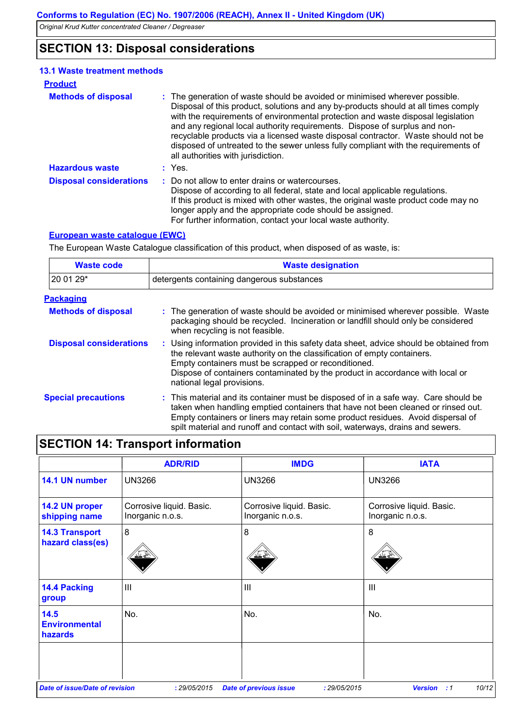### **SECTION 13: Disposal considerations**

#### **Hazardous waste :** Yes. **Methods of disposal : 13.1 Waste treatment methods Product** The generation of waste should be avoided or minimised wherever possible. Disposal of this product, solutions and any by-products should at all times comply with the requirements of environmental protection and waste disposal legislation and any regional local authority requirements. Dispose of surplus and nonrecyclable products via a licensed waste disposal contractor. Waste should not be disposed of untreated to the sewer unless fully compliant with the requirements of all authorities with jurisdiction. : Do not allow to enter drains or watercourses. Dispose of according to all federal, state and local applicable regulations. If this product is mixed with other wastes, the original waste product code may no longer apply and the appropriate code should be assigned. For further information, contact your local waste authority. **Disposal considerations :**

#### **European waste catalogue (EWC)**

The European Waste Catalogue classification of this product, when disposed of as waste, is:

| <b>Waste code</b>              | <b>Waste designation</b>                                                                                                                                                                                                                                                                                                                     |  |
|--------------------------------|----------------------------------------------------------------------------------------------------------------------------------------------------------------------------------------------------------------------------------------------------------------------------------------------------------------------------------------------|--|
| 20 01 29*                      | detergents containing dangerous substances                                                                                                                                                                                                                                                                                                   |  |
| <u>Packaging</u>               |                                                                                                                                                                                                                                                                                                                                              |  |
| <b>Methods of disposal</b>     | : The generation of waste should be avoided or minimised wherever possible. Waste<br>packaging should be recycled. Incineration or landfill should only be considered<br>when recycling is not feasible.                                                                                                                                     |  |
| <b>Disposal considerations</b> | : Using information provided in this safety data sheet, advice should be obtained from<br>the relevant waste authority on the classification of empty containers.<br>Empty containers must be scrapped or reconditioned.<br>Dispose of containers contaminated by the product in accordance with local or<br>national legal provisions.      |  |
| <b>Special precautions</b>     | : This material and its container must be disposed of in a safe way. Care should be<br>taken when handling emptied containers that have not been cleaned or rinsed out.<br>Empty containers or liners may retain some product residues. Avoid dispersal of<br>spilt material and runoff and contact with soil, waterways, drains and sewers. |  |

### **SECTION 14: Transport information**

|                                           | <b>ADR/RID</b>                               | <b>IMDG</b>                                   | <b>IATA</b>                                  |
|-------------------------------------------|----------------------------------------------|-----------------------------------------------|----------------------------------------------|
| 14.1 UN number                            | <b>UN3266</b>                                | <b>UN3266</b>                                 | <b>UN3266</b>                                |
| 14.2 UN proper<br>shipping name           | Corrosive liquid. Basic.<br>Inorganic n.o.s. | Corrosive liquid. Basic.<br>Inorganic n.o.s.  | Corrosive liquid. Basic.<br>Inorganic n.o.s. |
| <b>14.3 Transport</b><br>hazard class(es) | $\boldsymbol{8}$                             | 8                                             | 8                                            |
| 14.4 Packing<br>group                     | $\mathbf{  }$                                | III                                           | Ш                                            |
| 14.5<br><b>Environmental</b><br>hazards   | No.                                          | No.                                           | No.                                          |
|                                           |                                              |                                               |                                              |
| <b>Date of issue/Date of revision</b>     | : 29/05/2015                                 | : 29/05/2015<br><b>Date of previous issue</b> | 10/12<br><b>Version</b><br>$\cdot$ :1        |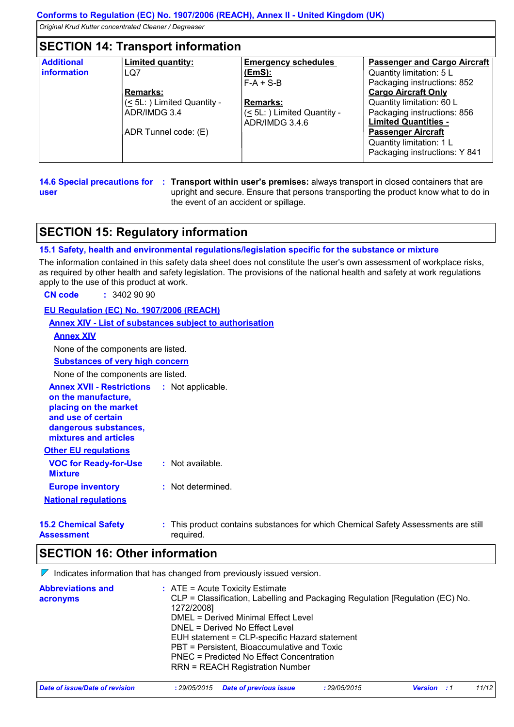### **SECTION 14: Transport information**

| <b>Additional</b> | <b>Limited quantity:</b>              | <b>Emergency schedules</b>     | <b>Passenger and Cargo Aircraft</b> |
|-------------------|---------------------------------------|--------------------------------|-------------------------------------|
| information       | LQ7                                   | (EmS):                         | Quantity limitation: 5 L            |
|                   |                                       | $F-A + S-B$                    | Packaging instructions: 852         |
|                   | <b>Remarks:</b>                       |                                | <b>Cargo Aircraft Only</b>          |
|                   | $($ $\leq$ 5L: $)$ Limited Quantity - | <b>Remarks:</b>                | Quantity limitation: 60 L           |
|                   | ADR/IMDG 3.4                          | $(\leq 5L)$ Limited Quantity - | Packaging instructions: 856         |
|                   |                                       | ADR/IMDG 3.4.6                 | <b>Limited Quantities -</b>         |
|                   | ADR Tunnel code: (E)                  |                                | <b>Passenger Aircraft</b>           |
|                   |                                       |                                | Quantity limitation: 1 L            |
|                   |                                       |                                | Packaging instructions: Y 841       |

**14.6 Special precautions for : Transport within user's premises: always transport in closed containers that are user** upright and secure. Ensure that persons transporting the product know what to do in the event of an accident or spillage.

### **SECTION 15: Regulatory information**

#### **15.1 Safety, health and environmental regulations/legislation specific for the substance or mixture**

The information contained in this safety data sheet does not constitute the user's own assessment of workplace risks, as required by other health and safety legislation. The provisions of the national health and safety at work regulations apply to the use of this product at work.

**CN code :** 3402 90 90

#### **EU Regulation (EC) No. 1907/2006 (REACH)**

#### **Annex XIV - List of substances subject to authorisation**

#### **Annex XIV**

None of the components are listed.

**Substances of very high concern**

None of the components are listed.

**Annex XVII - Restrictions :** Not applicable.

| on the manufacture,   |
|-----------------------|
| placing on the market |
| and use of certain    |

**dangerous substances,**

| .                     |  |  |
|-----------------------|--|--|
| mixtures and articles |  |  |
|                       |  |  |
|                       |  |  |

| <b>Other EU regulations</b>                    |                   |
|------------------------------------------------|-------------------|
| <b>VOC for Ready-for-Use</b><br><b>Mixture</b> | : Not available.  |
| <b>Europe inventory</b>                        | : Not determined. |
| <b>National regulations</b>                    |                   |

**15.2 Chemical Safety Assessment** This product contains substances for which Chemical Safety Assessments are still **:** required.

### **SECTION 16: Other information**

 $\nabla$  Indicates information that has changed from previously issued version.

| <b>Abbreviations and</b> | $\therefore$ ATE = Acute Toxicity Estimate                                                  |
|--------------------------|---------------------------------------------------------------------------------------------|
| acronyms                 | CLP = Classification, Labelling and Packaging Regulation [Regulation (EC) No.<br>1272/2008] |
|                          | DMEL = Derived Minimal Effect Level                                                         |
|                          | DNEL = Derived No Effect Level                                                              |
|                          | EUH statement = CLP-specific Hazard statement                                               |
|                          | PBT = Persistent, Bioaccumulative and Toxic                                                 |
|                          | <b>PNEC = Predicted No Effect Concentration</b>                                             |
|                          | <b>RRN = REACH Registration Number</b>                                                      |
|                          |                                                                                             |

| Date of issue/Date of revision | : 29/05/2015 Date of previous issue | 29/05/2015 | <b>Version</b> | 11/12 |
|--------------------------------|-------------------------------------|------------|----------------|-------|
|                                |                                     |            |                |       |